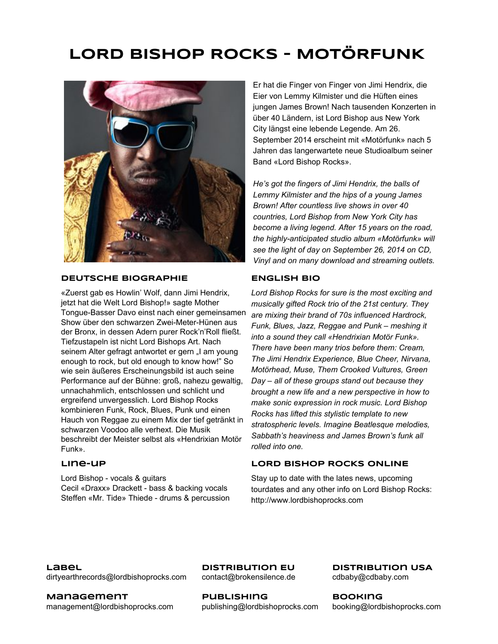# LORD BISHOP ROCKS – MOTÖRFUNK



### DEUTSCHE BIOGRAPHIE ENGLISH BIO

«Zuerst gab es Howlin' Wolf, dann Jimi Hendrix, jetzt hat die Welt Lord Bishop!» sagte Mother Tongue-Basser Davo einst nach einer gemeinsamen Show über den schwarzen Zwei-Meter-Hünen aus der Bronx, in dessen Adern purer Rock'n'Roll fließt. Tiefzustapeln ist nicht Lord Bishops Art. Nach seinem Alter gefragt antwortet er gern "I am young enough to rock, but old enough to know how!" So wie sein äußeres Erscheinungsbild ist auch seine Performance auf der Bühne: groß, nahezu gewaltig, unnachahmlich, entschlossen und schlicht und ergreifend unvergesslich. Lord Bishop Rocks kombinieren Funk, Rock, Blues, Punk und einen Hauch von Reggae zu einem Mix der tief getränkt in schwarzen Voodoo alle verhext. Die Musik beschreibt der Meister selbst als «Hendrixian Motör Funk».

Lord Bishop - vocals & guitars Cecil «Draxx» Drackett - bass & backing vocals Steffen «Mr. Tide» Thiede - drums & percussion

Er hat die Finger von Finger von Jimi Hendrix, die Eier von Lemmy Kilmister und die Hüften eines jungen James Brown! Nach tausenden Konzerten in über 40 Ländern, ist Lord Bishop aus New York City längst eine lebende Legende. Am 26. September 2014 erscheint mit «Motörfunk» nach 5 Jahren das langerwartete neue Studioalbum seiner Band «Lord Bishop Rocks».

*He's got the fingers of Jimi Hendrix, the balls of Lemmy Kilmister and the hips of a young James Brown! After countless live shows in over 40 countries, Lord Bishop from New York City has become a living legend. After 15 years on the road, the highly-anticipated studio album «Motörfunk» will see the light of day on September 26, 2014 on CD, Vinyl and on many download and streaming outlets.*

*Lord Bishop Rocks for sure is the most exciting and musically gifted Rock trio of the 21st century. They are mixing their brand of 70s influenced Hardrock, Funk, Blues, Jazz, Reggae and Punk – meshing it into a sound they call «Hendrixian Motör Funk». There have been many trios before them: Cream, The Jimi Hendrix Experience, Blue Cheer, Nirvana, Motörhead, Muse, Them Crooked Vultures, Green Day – all of these groups stand out because they brought a new life and a new perspective in how to make sonic expression in rock music. Lord Bishop Rocks has lifted this stylistic template to new stratospheric levels. Imagine Beatlesque melodies, Sabbath's heaviness and James Brown's funk all rolled into one.*

### Line-up LORD BISHOP ROCKS ONLINE

Stay up to date with the lates news, upcoming tourdates and any other info on Lord Bishop Rocks: http://www.lordbishoprocks.com

**Label** dirtyearthrecords@lordbishoprocks.com

Management management@lordbishoprocks.com

DistRibution EU contact@brokensilence.de

**PUBLISHING** 

DistRibution USA cdbaby@cdbaby.com

[publishing@lordbishoprocks.com](mailto:publishing@lordbishoprocks.com)

Booking booking@lordbishoprocks.com